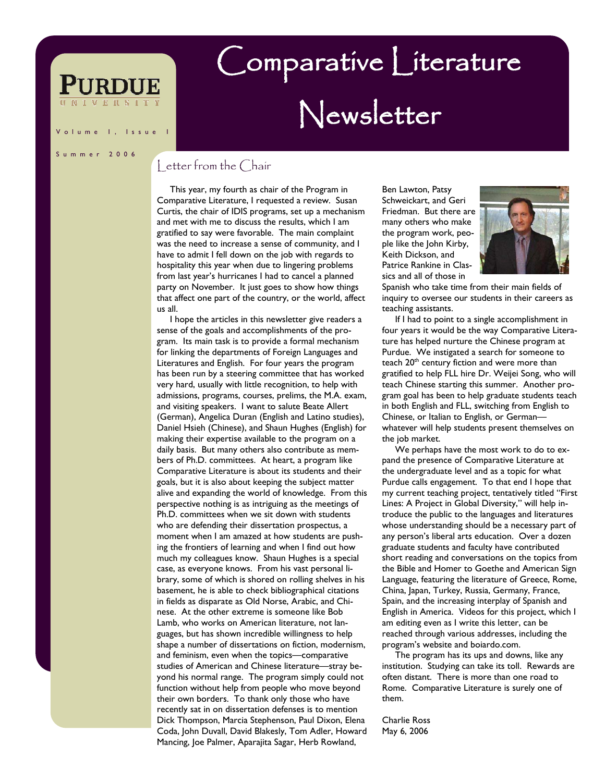## I, Issue

### Summer 2006

## detter from the Chair

 This year, my fourth as chair of the Program in Comparative Literature, I requested a review. Susan Curtis, the chair of IDIS programs, set up a mechanism and met with me to discuss the results, which I am gratified to say were favorable. The main complaint was the need to increase a sense of community, and I have to admit I fell down on the job with regards to hospitality this year when due to lingering problems from last year's hurricanes I had to cancel a planned party on November. It just goes to show how things that affect one part of the country, or the world, affect us all.

 I hope the articles in this newsletter give readers a sense of the goals and accomplishments of the program. Its main task is to provide a formal mechanism for linking the departments of Foreign Languages and Literatures and English. For four years the program has been run by a steering committee that has worked very hard, usually with little recognition, to help with admissions, programs, courses, prelims, the M.A. exam, and visiting speakers. I want to salute Beate Allert (German), Angelica Duran (English and Latino studies), Daniel Hsieh (Chinese), and Shaun Hughes (English) for making their expertise available to the program on a daily basis. But many others also contribute as members of Ph.D. committees. At heart, a program like Comparative Literature is about its students and their goals, but it is also about keeping the subject matter alive and expanding the world of knowledge. From this perspective nothing is as intriguing as the meetings of Ph.D. committees when we sit down with students who are defending their dissertation prospectus, a moment when I am amazed at how students are pushing the frontiers of learning and when I find out how much my colleagues know. Shaun Hughes is a special case, as everyone knows. From his vast personal library, some of which is shored on rolling shelves in his basement, he is able to check bibliographical citations in fields as disparate as Old Norse, Arabic, and Chinese. At the other extreme is someone like Bob Lamb, who works on American literature, not languages, but has shown incredible willingness to help shape a number of dissertations on fiction, modernism, and feminism, even when the topics—comparative studies of American and Chinese literature—stray beyond his normal range. The program simply could not function without help from people who move beyond their own borders. To thank only those who have recently sat in on dissertation defenses is to mention Dick Thompson, Marcia Stephenson, Paul Dixon, Elena Coda, John Duvall, David Blakesly, Tom Adler, Howard Mancing, Joe Palmer, Aparajita Sagar, Herb Rowland,

Ben Lawton, Patsy Schweickart, and Geri Friedman. But there are many others who make the program work, people like the John Kirby, Keith Dickson, and Patrice Rankine in Classics and all of those in

Comparative Literature

Newsletter



Spanish who take time from their main fields of inquiry to oversee our students in their careers as teaching assistants.

 If I had to point to a single accomplishment in four years it would be the way Comparative Literature has helped nurture the Chinese program at Purdue. We instigated a search for someone to teach 20<sup>th</sup> century fiction and were more than gratified to help FLL hire Dr. Weijei Song, who will teach Chinese starting this summer. Another program goal has been to help graduate students teach in both English and FLL, switching from English to Chinese, or Italian to English, or German whatever will help students present themselves on the job market.

 We perhaps have the most work to do to expand the presence of Comparative Literature at the undergraduate level and as a topic for what Purdue calls engagement. To that end I hope that my current teaching project, tentatively titled "First Lines: A Project in Global Diversity," will help introduce the public to the languages and literatures whose understanding should be a necessary part of any person's liberal arts education. Over a dozen graduate students and faculty have contributed short reading and conversations on the topics from the Bible and Homer to Goethe and American Sign Language, featuring the literature of Greece, Rome, China, Japan, Turkey, Russia, Germany, France, Spain, and the increasing interplay of Spanish and English in America. Videos for this project, which I am editing even as I write this letter, can be reached through various addresses, including the program's website and boiardo.com.

 The program has its ups and downs, like any institution. Studying can take its toll. Rewards are often distant. There is more than one road to Rome. Comparative Literature is surely one of them.

Charlie Ross May 6, 2006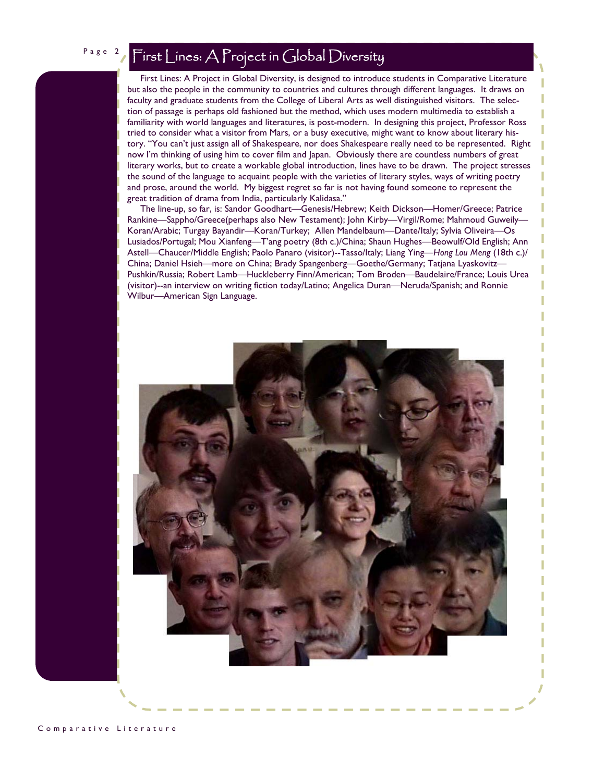# Page 2 First Lines: A Project in Global Diversity

 First Lines: A Project in Global Diversity, is designed to introduce students in Comparative Literature but also the people in the community to countries and cultures through different languages. It draws on faculty and graduate students from the College of Liberal Arts as well distinguished visitors. The selection of passage is perhaps old fashioned but the method, which uses modern multimedia to establish a familiarity with world languages and literatures, is post-modern. In designing this project, Professor Ross tried to consider what a visitor from Mars, or a busy executive, might want to know about literary history. "You can't just assign all of Shakespeare, nor does Shakespeare really need to be represented. Right now I'm thinking of using him to cover film and Japan. Obviously there are countless numbers of great literary works, but to create a workable global introduction, lines have to be drawn. The project stresses the sound of the language to acquaint people with the varieties of literary styles, ways of writing poetry and prose, around the world. My biggest regret so far is not having found someone to represent the great tradition of drama from India, particularly Kalidasa."

 The line-up, so far, is: Sandor Goodhart—Genesis/Hebrew; Keith Dickson—Homer/Greece; Patrice Rankine—Sappho/Greece(perhaps also New Testament); John Kirby—Virgil/Rome; Mahmoud Guweily— Koran/Arabic; Turgay Bayandir—Koran/Turkey; Allen Mandelbaum—Dante/Italy; Sylvia Oliveira—Os Lusiados/Portugal; Mou Xianfeng—T'ang poetry (8th c.)/China; Shaun Hughes—Beowulf/Old English; Ann Astell—Chaucer/Middle English; Paolo Panaro (visitor)--Tasso/Italy; Liang Ying—*Hong Lou Meng* (18th c.)/ China; Daniel Hsieh—more on China; Brady Spangenberg—Goethe/Germany; Tatjana Lyaskovitz— Pushkin/Russia; Robert Lamb—Huckleberry Finn/American; Tom Broden—Baudelaire/France; Louis Urea (visitor)--an interview on writing fiction today/Latino; Angelica Duran—Neruda/Spanish; and Ronnie Wilbur—American Sign Language.



Comparative Literature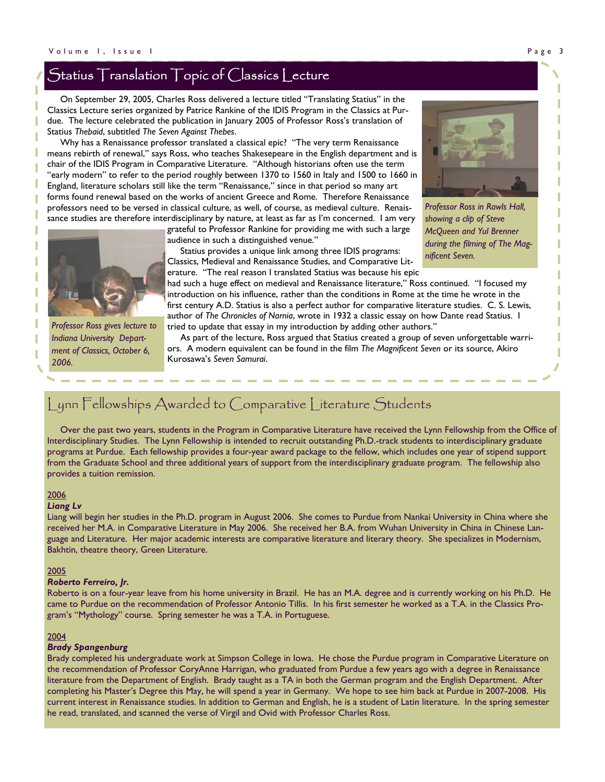# Statius Translation Topic of Classics Lecture

 On September 29, 2005, Charles Ross delivered a lecture titled "Translating Statius" in the Classics Lecture series organized by Patrice Rankine of the IDIS Program in the Classics at Purdue. The lecture celebrated the publication in January 2005 of Professor Ross's translation of Statius *Thebaid*, subtitled *The Seven Against Thebes*.

 Why has a Renaissance professor translated a classical epic? "The very term Renaissance means rebirth of renewal," says Ross, who teaches Shakesepeare in the English department and is chair of the IDIS Program in Comparative Literature. "Although historians often use the term "early modern" to refer to the period roughly between 1370 to 1560 in Italy and 1500 to 1660 in England, literature scholars still like the term "Renaissance," since in that period so many art forms found renewal based on the works of ancient Greece and Rome. Therefore Renaissance professors need to be versed in classical culture, as well, of course, as medieval culture. Renaissance studies are therefore interdisciplinary by nature, at least as far as I'm concerned. I am very



*Professor Ross in Rawls Hall, showing a clip of Steve McQueen and Yul Brenner during the filming of The Magnificent Seven.* 



*Professor Ross gives lecture to Indiana University Department of Classics, October 6, 2006.* 

grateful to Professor Rankine for providing me with such a large audience in such a distinguished venue."

 Statius provides a unique link among three IDIS programs: Classics, Medieval and Renaissance Studies, and Comparative Literature. "The real reason I translated Statius was because his epic

had such a huge effect on medieval and Renaissance literature," Ross continued. "I focused my introduction on his influence, rather than the conditions in Rome at the time he wrote in the first century A.D. Statius is also a perfect author for comparative literature studies. C. S. Lewis, author of *The Chronicles of Narnia*, wrote in 1932 a classic essay on how Dante read Statius. I tried to update that essay in my introduction by adding other authors."

 As part of the lecture, Ross argued that Statius created a group of seven unforgettable warriors. A modern equivalent can be found in the film *The Magnificent Seven* or its source, Akiro Kurosawa's *Seven Samurai*.

# Lynn Fellowships Awarded to Comparative Literature Students

 Over the past two years, students in the Program in Comparative Literature have received the Lynn Fellowship from the Office of Interdisciplinary Studies. The Lynn Fellowship is intended to recruit outstanding Ph.D.-track students to interdisciplinary graduate programs at Purdue. Each fellowship provides a four-year award package to the fellow, which includes one year of stipend support from the Graduate School and three additional years of support from the interdisciplinary graduate program. The fellowship also provides a tuition remission.

### 2006

### *Liang Lv*

Liang will begin her studies in the Ph.D. program in August 2006. She comes to Purdue from Nankai University in China where she received her M.A. in Comparative Literature in May 2006. She received her B.A. from Wuhan University in China in Chinese Language and Literature. Her major academic interests are comparative literature and literary theory. She specializes in Modernism, Bakhtin, theatre theory, Green Literature.

### 2005

## *Roberto Ferreiro, Jr.*

Roberto is on a four-year leave from his home university in Brazil. He has an M.A. degree and is currently working on his Ph.D. He came to Purdue on the recommendation of Professor Antonio Tillis. In his first semester he worked as a T.A. in the Classics Program's "Mythology" course. Spring semester he was a T.A. in Portuguese.

### 2004

### *Brady Spangenburg*

Brady completed his undergraduate work at Simpson College in Iowa. He chose the Purdue program in Comparative Literature on the recommendation of Professor CoryAnne Harrigan, who graduated from Purdue a few years ago with a degree in Renaissance literature from the Department of English. Brady taught as a TA in both the German program and the English Department. After completing his Master's Degree this May, he will spend a year in Germany. We hope to see him back at Purdue in 2007-2008. His current interest in Renaissance studies. In addition to German and English, he is a student of Latin literature. In the spring semester he read, translated, and scanned the verse of Virgil and Ovid with Professor Charles Ross.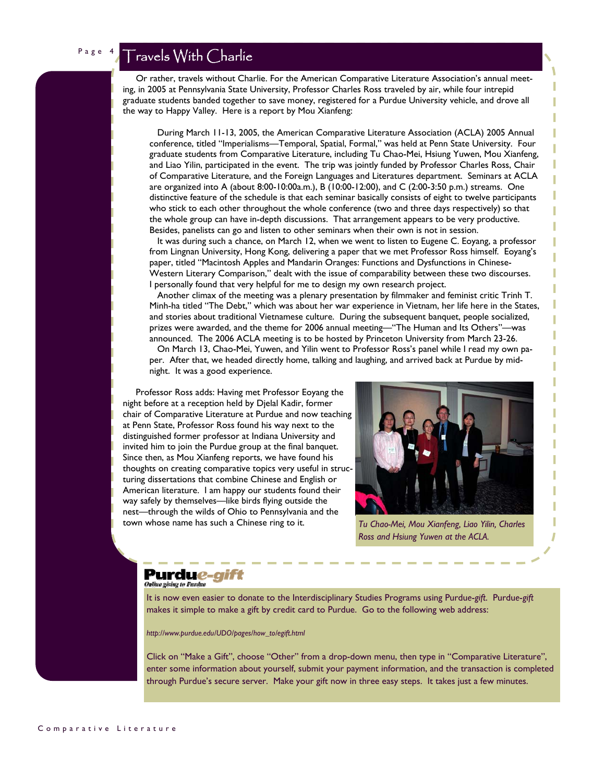# Travels With Charlie

 Or rather, travels without Charlie. For the American Comparative Literature Association's annual meeting, in 2005 at Pennsylvania State University, Professor Charles Ross traveled by air, while four intrepid graduate students banded together to save money, registered for a Purdue University vehicle, and drove all the way to Happy Valley. Here is a report by Mou Xianfeng:

 During March 11-13, 2005, the American Comparative Literature Association (ACLA) 2005 Annual conference, titled "Imperialisms—Temporal, Spatial, Formal," was held at Penn State University. Four graduate students from Comparative Literature, including Tu Chao-Mei, Hsiung Yuwen, Mou Xianfeng, and Liao Yilin, participated in the event. The trip was jointly funded by Professor Charles Ross, Chair of Comparative Literature, and the Foreign Languages and Literatures department. Seminars at ACLA are organized into A (about 8:00-10:00a.m.), B (10:00-12:00), and C (2:00-3:50 p.m.) streams. One distinctive feature of the schedule is that each seminar basically consists of eight to twelve participants who stick to each other throughout the whole conference (two and three days respectively) so that the whole group can have in-depth discussions. That arrangement appears to be very productive. Besides, panelists can go and listen to other seminars when their own is not in session.

 It was during such a chance, on March 12, when we went to listen to Eugene C. Eoyang, a professor from Lingnan University, Hong Kong, delivering a paper that we met Professor Ross himself. Eoyang's paper, titled "Macintosh Apples and Mandarin Oranges: Functions and Dysfunctions in Chinese-Western Literary Comparison," dealt with the issue of comparability between these two discourses. I personally found that very helpful for me to design my own research project.

 Another climax of the meeting was a plenary presentation by filmmaker and feminist critic Trinh T. Minh-ha titled "The Debt," which was about her war experience in Vietnam, her life here in the States, and stories about traditional Vietnamese culture. During the subsequent banquet, people socialized, prizes were awarded, and the theme for 2006 annual meeting—"The Human and Its Others"—was announced. The 2006 ACLA meeting is to be hosted by Princeton University from March 23-26.

 On March 13, Chao-Mei, Yuwen, and Yilin went to Professor Ross's panel while I read my own paper. After that, we headed directly home, talking and laughing, and arrived back at Purdue by midnight. It was a good experience.

 Professor Ross adds: Having met Professor Eoyang the night before at a reception held by Djelal Kadir, former chair of Comparative Literature at Purdue and now teaching at Penn State, Professor Ross found his way next to the distinguished former professor at Indiana University and invited him to join the Purdue group at the final banquet. Since then, as Mou Xianfeng reports, we have found his thoughts on creating comparative topics very useful in structuring dissertations that combine Chinese and English or American literature. I am happy our students found their way safely by themselves—like birds flying outside the nest—through the wilds of Ohio to Pennsylvania and the town whose name has such a Chinese ring to it.



*Tu Chao-Mei, Mou Xianfeng, Liao Yilin, Charles Ross and Hsiung Yuwen at the ACLA.* 

### Purdu*e-gift* .<br>Ouline giving to Pardoe

It is now even easier to donate to the Interdisciplinary Studies Programs using Purdu*e*-*gift*. Purdu*e*-*gift*  makes it simple to make a gift by credit card to Purdue. Go to the following web address:

*http://www.purdue.edu/UDO/pages/how\_to/egift.html* 

Click on "Make a Gift", choose "Other" from a drop-down menu, then type in "Comparative Literature", enter some information about yourself, submit your payment information, and the transaction is completed through Purdue's secure server. Make your gift now in three easy steps. It takes just a few minutes.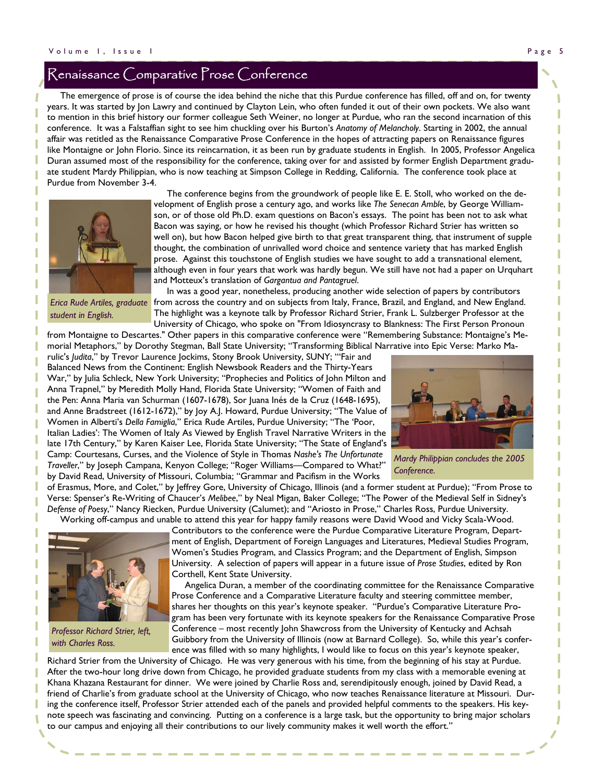# Renaissance Comparative Prose Conference

 The emergence of prose is of course the idea behind the niche that this Purdue conference has filled, off and on, for twenty years. It was started by Jon Lawry and continued by Clayton Lein, who often funded it out of their own pockets. We also want to mention in this brief history our former colleague Seth Weiner, no longer at Purdue, who ran the second incarnation of this conference. It was a Falstaffian sight to see him chuckling over his Burton's *Anatomy of Melancholy*. Starting in 2002, the annual affair was retitled as the Renaissance Comparative Prose Conference in the hopes of attracting papers on Renaissance figures like Montaigne or John Florio. Since its reincarnation, it as been run by graduate students in English. In 2005, Professor Angelica Duran assumed most of the responsibility for the conference, taking over for and assisted by former English Department graduate student Mardy Philippian, who is now teaching at Simpson College in Redding, California. The conference took place at Purdue from November 3-4.



 The conference begins from the groundwork of people like E. E. Stoll, who worked on the development of English prose a century ago, and works like *The Senecan Amble*, by George Williamson, or of those old Ph.D. exam questions on Bacon's essays. The point has been not to ask what Bacon was saying, or how he revised his thought (which Professor Richard Strier has written so well on), but how Bacon helped give birth to that great transparent thing, that instrument of supple thought, the combination of unrivalled word choice and sentence variety that has marked English prose. Against this touchstone of English studies we have sought to add a transnational element, although even in four years that work was hardly begun. We still have not had a paper on Urquhart and Motteux's translation of *Gargantua and Pantagruel*.

*student in English.* 

 In was a good year, nonetheless, producing another wide selection of papers by contributors Erica Rude Artiles, graduate from across the country and on subjects from Italy, France, Brazil, and England, and New England. The highlight was a keynote talk by Professor Richard Strier, Frank L. Sulzberger Professor at the University of Chicago, who spoke on "From Idiosyncrasy to Blankness: The First Person Pronoun

from Montaigne to Descartes." Other papers in this comparative conference were "Remembering Substance: Montaigne's Memorial Metaphors," by Dorothy Stegman, Ball State University; "Transforming Biblical Narrative into Epic Verse: Marko Marulic's *Judita*," by Trevor Laurence Jockims, Stony Brook University, SUNY; "'Fair and

Balanced News from the Continent: English Newsbook Readers and the Thirty-Years War," by Julia Schleck, New York University; "Prophecies and Politics of John Milton and Anna Trapnel," by Meredith Molly Hand, Florida State University; "Women of Faith and the Pen: Anna Maria van Schurman (1607-1678), Sor Juana Inés de la Cruz (1648-1695), and Anne Bradstreet (1612-1672)," by Joy A.J. Howard, Purdue University; "The Value of Women in Alberti's *Della Famiglia*," Erica Rude Artiles, Purdue University; "The 'Poor, Italian Ladies': The Women of Italy As Viewed by English Travel Narrative Writers in the late 17th Century," by Karen Kaiser Lee, Florida State University; "The State of England's Camp: Courtesans, Curses, and the Violence of Style in Thomas *Nashe's The Unfortunate Traveller*," by Joseph Campana, Kenyon College; "Roger Williams—Compared to What?" by David Read, University of Missouri, Columbia; "Grammar and Pacifism in the Works



*Mardy Philippian concludes the 2005 Conference.* 

of Erasmus, More, and Colet," by Jeffrey Gore, University of Chicago, Illinois (and a former student at Purdue); "From Prose to Verse: Spenser's Re-Writing of Chaucer's *Melibee*," by Neal Migan, Baker College; "The Power of the Medieval Self in Sidney's *Defense of Poesy*," Nancy Riecken, Purdue University (Calumet); and "Ariosto in Prose," Charles Ross, Purdue University. Working off-campus and unable to attend this year for happy family reasons were David Wood and Vicky Scala-Wood.



*Professor Richard Strier, left, with Charles Ross.* 

Contributors to the conference were the Purdue Comparative Literature Program, Department of English, Department of Foreign Languages and Literatures, Medieval Studies Program, Women's Studies Program, and Classics Program; and the Department of English, Simpson University. A selection of papers will appear in a future issue of *Prose Studies*, edited by Ron Corthell, Kent State University.

 Angelica Duran, a member of the coordinating committee for the Renaissance Comparative Prose Conference and a Comparative Literature faculty and steering committee member, shares her thoughts on this year's keynote speaker. "Purdue's Comparative Literature Program has been very fortunate with its keynote speakers for the Renaissance Comparative Prose Conference – most recently John Shawcross from the University of Kentucky and Achsah Guibbory from the University of Illinois (now at Barnard College). So, while this year's conference was filled with so many highlights, I would like to focus on this year's keynote speaker,

Richard Strier from the University of Chicago. He was very generous with his time, from the beginning of his stay at Purdue. After the two-hour long drive down from Chicago, he provided graduate students from my class with a memorable evening at Khana Khazana Restaurant for dinner. We were joined by Charlie Ross and, serendipitously enough, joined by David Read, a friend of Charlie's from graduate school at the University of Chicago, who now teaches Renaissance literature at Missouri. During the conference itself, Professor Strier attended each of the panels and provided helpful comments to the speakers. His keynote speech was fascinating and convincing. Putting on a conference is a large task, but the opportunity to bring major scholars to our campus and enjoying all their contributions to our lively community makes it well worth the effort."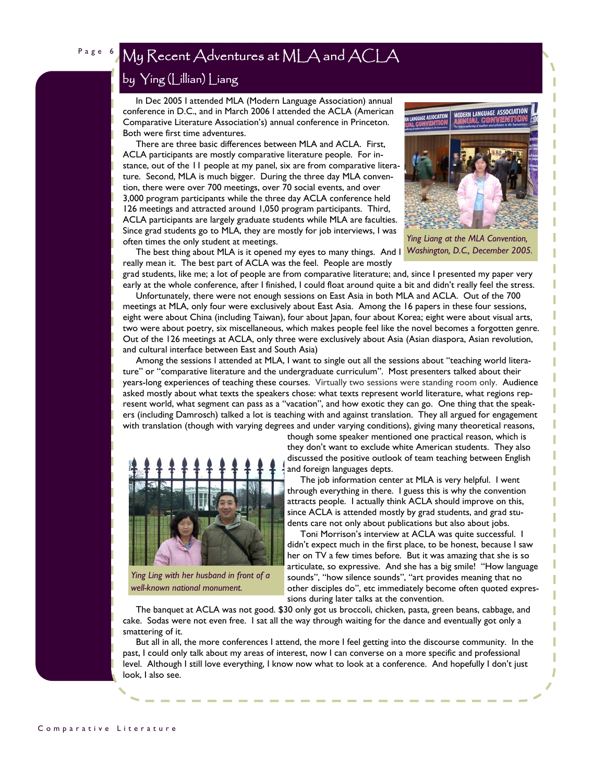# by Ying (Lillian) Liang

 In Dec 2005 I attended MLA (Modern Language Association) annual conference in D.C., and in March 2006 I attended the ACLA (American Comparative Literature Association's) annual conference in Princeton. Both were first time adventures.

 There are three basic differences between MLA and ACLA. First, ACLA participants are mostly comparative literature people. For instance, out of the 11 people at my panel, six are from comparative literature. Second, MLA is much bigger. During the three day MLA convention, there were over 700 meetings, over 70 social events, and over 3,000 program participants while the three day ACLA conference held 126 meetings and attracted around 1,050 program participants. Third, ACLA participants are largely graduate students while MLA are faculties. Since grad students go to MLA, they are mostly for job interviews, I was often times the only student at meetings.



*Ying Liang at the MLA Convention, Washington, D.C., December 2005.* 

The best thing about MLA is it opened my eyes to many things. And I really mean it. The best part of ACLA was the feel. People are mostly

grad students, like me; a lot of people are from comparative literature; and, since I presented my paper very early at the whole conference, after I finished, I could float around quite a bit and didn't really feel the stress.

 Unfortunately, there were not enough sessions on East Asia in both MLA and ACLA. Out of the 700 meetings at MLA, only four were exclusively about East Asia. Among the 16 papers in these four sessions, eight were about China (including Taiwan), four about Japan, four about Korea; eight were about visual arts, two were about poetry, six miscellaneous, which makes people feel like the novel becomes a forgotten genre. Out of the 126 meetings at ACLA, only three were exclusively about Asia (Asian diaspora, Asian revolution, and cultural interface between East and South Asia)

 Among the sessions I attended at MLA, I want to single out all the sessions about "teaching world literature" or "comparative literature and the undergraduate curriculum". Most presenters talked about their years-long experiences of teaching these courses. Virtually two sessions were standing room only. Audience asked mostly about what texts the speakers chose: what texts represent world literature, what regions represent world, what segment can pass as a "vacation", and how exotic they can go. One thing that the speakers (including Damrosch) talked a lot is teaching with and against translation. They all argued for engagement with translation (though with varying degrees and under varying conditions), giving many theoretical reasons,



*Ying Ling with her husband in front of a well-known national monument.* 

though some speaker mentioned one practical reason, which is they don't want to exclude white American students. They also discussed the positive outlook of team teaching between English and foreign languages depts.

 The job information center at MLA is very helpful. I went through everything in there. I guess this is why the convention attracts people. I actually think ACLA should improve on this, since ACLA is attended mostly by grad students, and grad students care not only about publications but also about jobs.

 Toni Morrison's interview at ACLA was quite successful. I didn't expect much in the first place, to be honest, because I saw her on TV a few times before. But it was amazing that she is so articulate, so expressive. And she has a big smile! "How language sounds", "how silence sounds", "art provides meaning that no other disciples do", etc immediately become often quoted expressions during later talks at the convention.

 The banquet at ACLA was not good. \$30 only got us broccoli, chicken, pasta, green beans, cabbage, and cake. Sodas were not even free. I sat all the way through waiting for the dance and eventually got only a smattering of it.

 But all in all, the more conferences I attend, the more I feel getting into the discourse community. In the past, I could only talk about my areas of interest, now I can converse on a more specific and professional level. Although I still love everything, I know now what to look at a conference. And hopefully I don't just look, I also see.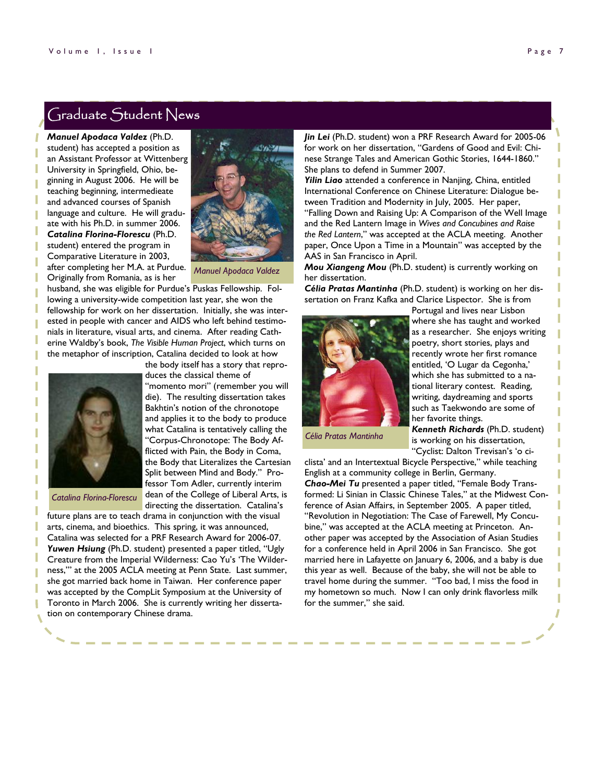*Manuel Apodaca Valdez* (Ph.D. student) has accepted a position as an Assistant Professor at Wittenberg University in Springfield, Ohio, beginning in August 2006. He will be teaching beginning, intermedieate and advanced courses of Spanish language and culture. He will graduate with his Ph.D. in summer 2006. *Catalina Florina-Florescu* (Ph.D. student) entered the program in Comparative Literature in 2003, after completing her M.A. at Purdue. Originally from Romania, as is her



*Manuel Apodaca Valdez* 

husband, she was eligible for Purdue's Puskas Fellowship. Following a university-wide competition last year, she won the fellowship for work on her dissertation. Initially, she was interested in people with cancer and AIDS who left behind testimonials in literature, visual arts, and cinema. After reading Catherine Waldby's book, *The Visible Human Project*, which turns on the metaphor of inscription, Catalina decided to look at how

duces the classical theme of

"momento mori" (remember you will die). The resulting dissertation takes Bakhtin's notion of the chronotope and applies it to the body to produce what Catalina is tentatively calling the "Corpus-Chronotope: The Body Afflicted with Pain, the Body in Coma, the Body that Literalizes the Cartesian Split between Mind and Body." Professor Tom Adler, currently interim



*Catalina Florina-Florescu* 

directing the dissertation. Catalina's future plans are to teach drama in conjunction with the visual arts, cinema, and bioethics. This spring, it was announced, Catalina was selected for a PRF Research Award for 2006-07. *Yuwen Hsiung* (Ph.D. student) presented a paper titled, "Ugly Creature from the Imperial Wilderness: Cao Yu's 'The Wilderness,'" at the 2005 ACLA meeting at Penn State. Last summer, she got married back home in Taiwan. Her conference paper was accepted by the CompLit Symposium at the University of Toronto in March 2006. She is currently writing her dissertation on contemporary Chinese drama.

*Jin Lei* (Ph.D. student) won a PRF Research Award for 2005-06 for work on her dissertation, "Gardens of Good and Evil: Chinese Strange Tales and American Gothic Stories, 1644-1860." She plans to defend in Summer 2007.

*Yilin Liao* attended a conference in Nanjing, China, entitled International Conference on Chinese Literature: Dialogue between Tradition and Modernity in July, 2005. Her paper, "Falling Down and Raising Up: A Comparison of the Well Image and the Red Lantern Image in *Wives and Concubines and Raise the Red Lantern*," was accepted at the ACLA meeting. Another paper, Once Upon a Time in a Mountain" was accepted by the AAS in San Francisco in April.

*Mou Xiangeng Mou* (Ph.D. student) is currently working on her dissertation.

*Célia Pratas Mantinha* (Ph.D. student) is working on her dissertation on Franz Kafka and Clarice Lispector. She is from



Portugal and lives near Lisbon where she has taught and worked as a researcher. She enjoys writing poetry, short stories, plays and recently wrote her first romance entitled, 'O Lugar da Cegonha,' which she has submitted to a national literary contest. Reading, writing, daydreaming and sports such as Taekwondo are some of her favorite things.

*Célia Pratas Mantinha* 

*Kenneth Richards* (Ph.D. student) is working on his dissertation, "Cyclist: Dalton Trevisan's 'o ciT

clista' and an Intertextual Bicycle Perspective," while teaching English at a community college in Berlin, Germany. *Chao-Mei Tu* presented a paper titled, "Female Body Transformed: Li Sinian in Classic Chinese Tales," at the Midwest Conference of Asian Affairs, in September 2005. A paper titled, "Revolution in Negotiation: The Case of Farewell, My Concubine," was accepted at the ACLA meeting at Princeton. Another paper was accepted by the Association of Asian Studies for a conference held in April 2006 in San Francisco. She got married here in Lafayette on January 6, 2006, and a baby is due this year as well. Because of the baby, she will not be able to travel home during the summer. "Too bad, I miss the food in my hometown so much. Now I can only drink flavorless milk for the summer," she said.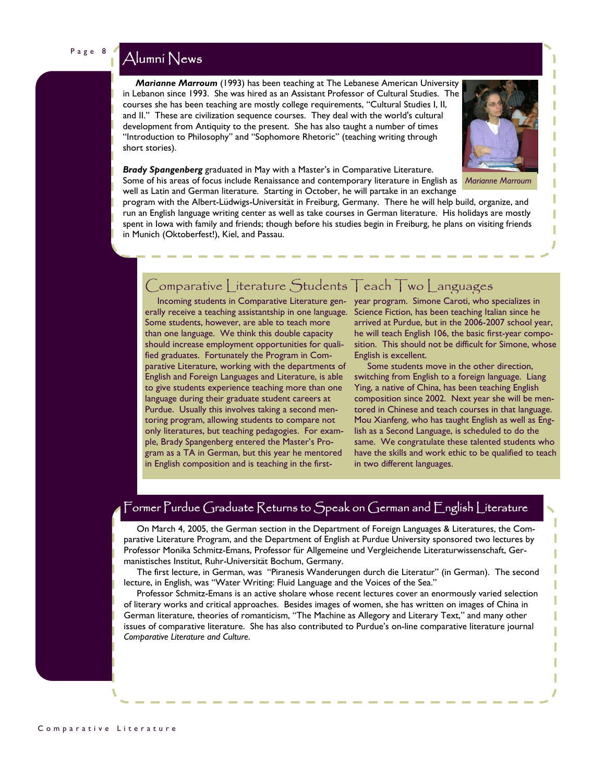# Page 8 Alumni News

 *Marianne Marroum* (1993) has been teaching at The Lebanese American University in Lebanon since 1993. She was hired as an Assistant Professor of Cultural Studies. The courses she has been teaching are mostly college requirements, "Cultural Studies I, II, and II." These are civilization sequence courses. They deal with the world's cultural development from Antiquity to the present. She has also taught a number of times "Introduction to Philosophy" and "Sophomore Rhetoric" (teaching writing through short stories).



*Brady Spangenberg* graduated in May with a Master's in Comparative Literature. Some of his areas of focus include Renaissance and contemporary literature in English as *Marianne Marroum* well as Latin and German literature. Starting in October, he will partake in an exchange

program with the Albert-Lüdwigs-Universität in Freiburg, Germany. There he will help build, organize, and run an English language writing center as well as take courses in German literature. His holidays are mostly spent in Iowa with family and friends; though before his studies begin in Freiburg, he plans on visiting friends in Munich (Oktoberfest!), Kiel, and Passau.

# Comparative Literature Students Teach Two Languages

erally receive a teaching assistantship in one language. Some students, however, are able to teach more than one language. We think this double capacity should increase employment opportunities for qualified graduates. Fortunately the Program in Comparative Literature, working with the departments of English and Foreign Languages and Literature, is able to give students experience teaching more than one language during their graduate student careers at Purdue. Usually this involves taking a second mentoring program, allowing students to compare not only literatures, but teaching pedagogies. For example, Brady Spangenberg entered the Master's Program as a TA in German, but this year he mentored in English composition and is teaching in the first-

 Incoming students in Comparative Literature gen-year program. Simone Caroti, who specializes in Science Fiction, has been teaching Italian since he arrived at Purdue, but in the 2006-2007 school year, he will teach English 106, the basic first-year composition. This should not be difficult for Simone, whose English is excellent.

> Some students move in the other direction, switching from English to a foreign language. Liang Ying, a native of China, has been teaching English composition since 2002. Next year she will be mentored in Chinese and teach courses in that language. Mou Xianfeng, who has taught English as well as English as a Second Language, is scheduled to do the same. We congratulate these talented students who have the skills and work ethic to be qualified to teach in two different languages.

## Former Purdue Graduate Returns to Speak on German and English Literature

 On March 4, 2005, the German section in the Department of Foreign Languages & Literatures, the Comparative Literature Program, and the Department of English at Purdue University sponsored two lectures by Professor Monika Schmitz-Emans, Professor für Allgemeine und Vergleichende Literaturwissenschaft, Germanistisches Institut, Ruhr-Universität Bochum, Germany.

 The first lecture, in German, was "Piranesis Wanderungen durch die Literatur" (in German). The second lecture, in English, was "Water Writing: Fluid Language and the Voices of the Sea."

 Professor Schmitz-Emans is an active sholare whose recent lectures cover an enormously varied selection of literary works and critical approaches. Besides images of women, she has written on images of China in German literature, theories of romanticism, "The Machine as Allegory and Literary Text," and many other issues of comparative literature. She has also contributed to Purdue's on-line comparative literature journal *Comparative Literature and Culture*.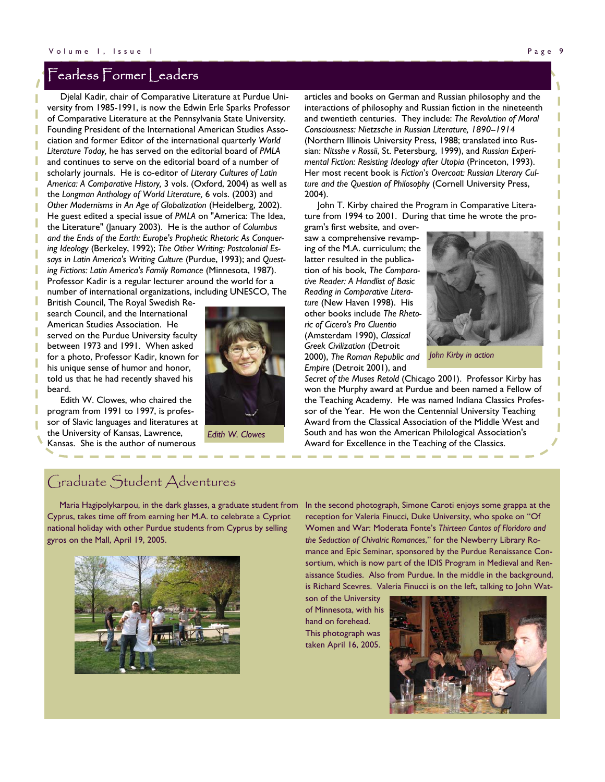## Fearless Former Leaders

 Djelal Kadir, chair of Comparative Literature at Purdue University from 1985-1991, is now the Edwin Erle Sparks Professor of Comparative Literature at the Pennsylvania State University. Founding President of the International American Studies Association and former Editor of the international quarterly *World Literature Today,* he has served on the editorial board of *PMLA* and continues to serve on the editorial board of a number of scholarly journals. He is co-editor of *Literary Cultures of Latin America: A Comparative History,* 3 vols. (Oxford, 2004) as well as the *Longman Anthology of World Literature,* 6 vols. (2003) and *Other Modernisms in An Age of Globalization* (Heidelberg, 2002). He guest edited a special issue of *PMLA* on "America: The Idea, the Literature" (January 2003). He is the author of *Columbus and the Ends of the Earth: Europe's Prophetic Rhetoric As Conquering Ideology* (Berkeley, 1992); *The Other Writing: Postcolonial Essays in Latin America's Writing Culture* (Purdue, 1993); and *Questing Fictions: Latin America's Family Romance* (Minnesota, 1987). Professor Kadir is a regular lecturer around the world for a number of international organizations, including UNESCO, The

British Council, The Royal Swedish Research Council, and the International American Studies Association. He served on the Purdue University faculty between 1973 and 1991. When asked for a photo, Professor Kadir, known for his unique sense of humor and honor, told us that he had recently shaved his beard.

 Edith W. Clowes, who chaired the program from 1991 to 1997, is professor of Slavic languages and literatures at the University of Kansas, Lawrence, Kansas. She is the author of numerous



*Edith W. Clowes* 

articles and books on German and Russian philosophy and the interactions of philosophy and Russian fiction in the nineteenth and twentieth centuries. They include: *The Revolution of Moral Consciousness: Nietzsche in Russian Literature, 1890--1914* (Northern Illinois University Press, 1988; translated into Russian: *Nitsshe v Rossii*, St. Petersburg, 1999), and *Russian Experimental Fiction: Resisting Ideology after Utopia* (Princeton, 1993). Her most recent book is *Fiction*'*s Overcoat: Russian Literary Culture and the Question of Philosophy* (Cornell University Press, 2004).

 John T. Kirby chaired the Program in Comparative Literature from 1994 to 2001. During that time he wrote the pro-

gram's first website, and oversaw a comprehensive revamping of the M.A. curriculum; the latter resulted in the publication of his book, *The Comparative Reader: A Handlist of Basic Reading in Comparative Literature* (New Haven 1998). His other books include *The Rhetoric of Cicero's Pro Cluentio* (Amsterdam 1990), *Classical Greek Civilization* (Detroit 2000), *The Roman Republic and Empire* (Detroit 2001), and



*John Kirby in action* 

*Secret of the Muses Retold* (Chicago 2001). Professor Kirby has won the Murphy award at Purdue and been named a Fellow of the Teaching Academy. He was named Indiana Classics Professor of the Year. He won the Centennial University Teaching Award from the Classical Association of the Middle West and South and has won the American Philological Association's Award for Excellence in the Teaching of the Classics.

## Graduate Student Adventures

 Maria Hagipolykarpou, in the dark glasses, a graduate student from Cyprus, takes time off from earning her M.A. to celebrate a Cypriot national holiday with other Purdue students from Cyprus by selling gyros on the Mall, April 19, 2005.



In the second photograph, Simone Caroti enjoys some grappa at the reception for Valeria Finucci, Duke University, who spoke on "Of Women and War: Moderata Fonte's *Thirteen Cantos of Floridoro and the Seduction of Chivalric Romances*," for the Newberry Library Romance and Epic Seminar, sponsored by the Purdue Renaissance Consortium, which is now part of the IDIS Program in Medieval and Renaissance Studies. Also from Purdue. In the middle in the background, is Richard Scevres. Valeria Finucci is on the left, talking to John Wat-

son of the University of Minnesota, with his hand on forehead. This photograph was taken April 16, 2005.

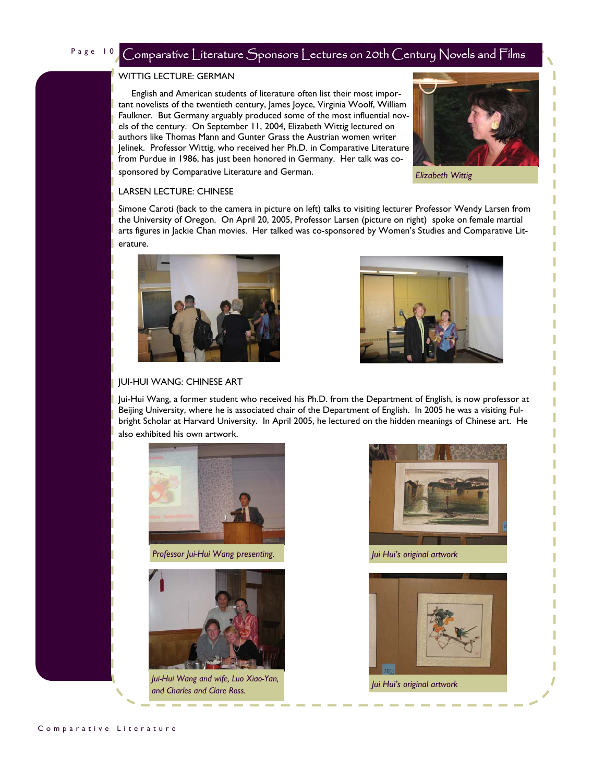## Page 10 Comparative Literature Sponsors Lectures on 20th Century Novels and Films

## WITTIG LECTURE: GERMAN

 English and American students of literature often list their most important novelists of the twentieth century, lames loyce, Virginia Woolf, William Faulkner. But Germany arguably produced some of the most influential novels of the century. On September 11, 2004, Elizabeth Wittig lectured on authors like Thomas Mann and Gunter Grass the Austrian women writer Jelinek. Professor Wittig, who received her Ph.D. in Comparative Literature from Purdue in 1986, has just been honored in Germany. Her talk was cosponsored by Comparative Literature and German.



*Elizabeth Wittig* 

## LARSEN LECTURE: CHINESE

Simone Caroti (back to the camera in picture on left) talks to visiting lecturer Professor Wendy Larsen from the University of Oregon. On April 20, 2005, Professor Larsen (picture on right) spoke on female martial arts figures in Jackie Chan movies. Her talked was co-sponsored by Women's Studies and Comparative Literature.





## JUI-HUI WANG: CHINESE ART

Jui-Hui Wang, a former student who received his Ph.D. from the Department of English, is now professor at Beijing University, where he is associated chair of the Department of English. In 2005 he was a visiting Fulbright Scholar at Harvard University. In April 2005, he lectured on the hidden meanings of Chinese art. He also exhibited his own artwork.



*Professor Jui-Hui Wang presenting. Jui Hui's original artwork* 



*Jui-Hui Wang and wife, Luo Xiao-Yan, and Charles and Clare Ross. Jui Hui's original artwork* 



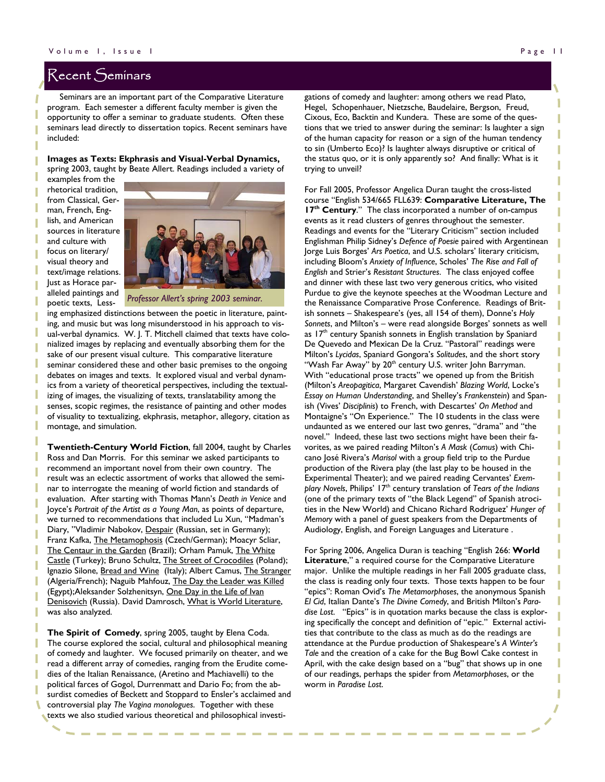## Recent Seminars

 Seminars are an important part of the Comparative Literature program. Each semester a different faculty member is given the opportunity to offer a seminar to graduate students. Often these seminars lead directly to dissertation topics. Recent seminars have included:

**Images as Texts: Ekphrasis and Visual-Verbal Dynamics,** spring 2003, taught by Beate Allert. Readings included a variety of

examples from the rhetorical tradition, from Classical, German, French, English, and American sources in literature and culture with focus on literary/ visual theory and text/image relations. Just as Horace paralleled paintings and poetic texts, Less-



*Professor Allert's spring 2003 seminar.* 

ing emphasized distinctions between the poetic in literature, painting, and music but was long misunderstood in his approach to visual-verbal dynamics. W. J. T. Mitchell claimed that texts have colonialized images by replacing and eventually absorbing them for the sake of our present visual culture. This comparative literature seminar considered these and other basic premises to the ongoing debates on images and texts. It explored visual and verbal dynamics from a variety of theoretical perspectives, including the textualizing of images, the visualizing of texts, translatability among the senses, scopic regimes, the resistance of painting and other modes of visuality to textualizing, ekphrasis, metaphor, allegory, citation as montage, and simulation.

**Twentieth-Century World Fiction**, fall 2004, taught by Charles Ross and Dan Morris. For this seminar we asked participants to recommend an important novel from their own country. The result was an eclectic assortment of works that allowed the seminar to interrogate the meaning of world fiction and standards of evaluation. After starting with Thomas Mann's *Death in Venice* and Joyce's *Portrait of the Artist as a Young Man*, as points of departure, we turned to recommendations that included Lu Xun, "Madman's Diary, "Vladimir Nabokov, Despair (Russian, set in Germany); Franz Kafka, The Metamophosis (Czech/German); Moacyr Scliar, The Centaur in the Garden (Brazil); Orham Pamuk, The White Castle (Turkey); Bruno Schultz, The Street of Crocodiles (Poland); Ignazio Silone, Bread and Wine (Italy); Albert Camus, The Stranger (Algeria/French); Naguib Mahfouz, The Day the Leader was Killed (Egypt);Aleksander Solzhenitsyn, One Day in the Life of Ivan Denisovich (Russia). David Damrosch, What is World Literature, was also analyzed.

**The Spirit of Comedy**, spring 2005, taught by Elena Coda. The course explored the social, cultural and philosophical meaning of comedy and laughter. We focused primarily on theater, and we read a different array of comedies, ranging from the Erudite comedies of the Italian Renaissance, (Aretino and Machiavelli) to the political farces of Gogol, Durrenmatt and Dario Fo; from the absurdist comedies of Beckett and Stoppard to Ensler's acclaimed and controversial play *The Vagina monologues*. Together with these texts we also studied various theoretical and philosophical investigations of comedy and laughter: among others we read Plato, Hegel, Schopenhauer, Nietzsche, Baudelaire, Bergson, Freud, Cixous, Eco, Backtin and Kundera. These are some of the questions that we tried to answer during the seminar: Is laughter a sign of the human capacity for reason or a sign of the human tendency to sin (Umberto Eco)? Is laughter always disruptive or critical of the status quo, or it is only apparently so? And finally: What is it trying to unveil?

For Fall 2005, Professor Angelica Duran taught the cross-listed course "English 534/665 FLL639: **Comparative Literature, The 17<sup>th</sup> Century**." The class incorporated a number of on-campus events as it read clusters of genres throughout the semester. Readings and events for the "Literary Criticism" section included Englishman Philip Sidney's *Defence of Poesie* paired with Argentinean Jorge Luis Borges' *Ars Poetica*, and U.S. scholars' literary criticism, including Bloom's *Anxiety of Influence*, Scholes' *The Rise and Fall of English* and Strier's *Resistant Structures*. The class enjoyed coffee and dinner with these last two very generous critics, who visited Purdue to give the keynote speeches at the Woodman Lecture and the Renaissance Comparative Prose Conference. Readings of British sonnets – Shakespeare's (yes, all 154 of them), Donne's *Holy Sonnets*, and Milton's – were read alongside Borges' sonnets as well as 17<sup>th</sup> century Spanish sonnets in English translation by Spaniard De Quevedo and Mexican De la Cruz. "Pastoral" readings were Milton's *Lycidas*, Spaniard Gongora's *Solitudes*, and the short story "Wash Far Away" by 20<sup>th</sup> century U.S. writer John Barryman. With "educational prose tracts" we opened up from the British (Milton's *Areopagitica*, Margaret Cavendish' *Blazing World*, Locke's *Essay on Human Understanding*, and Shelley's *Frankenstein*) and Spanish (Vives' *Disciplinis*) to French, with Descartes' *On Method* and Montaigne's "On Experience." The 10 students in the class were undaunted as we entered our last two genres, "drama" and "the novel." Indeed, these last two sections might have been their favorites, as we paired reading Milton's *A Mask* (*Comus*) with Chicano José Rivera's *Marisol* with a group field trip to the Purdue production of the Rivera play (the last play to be housed in the Experimental Theater); and we paired reading Cervantes' *Exemplary Novels*, Philips' 17th century translation of *Tears of the Indians* (one of the primary texts of "the Black Legend" of Spanish atrocities in the New World) and Chicano Richard Rodriguez' *Hunger of Memory* with a panel of guest speakers from the Departments of Audiology, English, and Foreign Languages and Literature .

For Spring 2006, Angelica Duran is teaching "English 266: **World Literature**," a required course for the Comparative Literature major. Unlike the multiple readings in her Fall 2005 graduate class, the class is reading only four texts. Those texts happen to be four "epics": Roman Ovid's *The Metamorphoses*, the anonymous Spanish *El Cid*, Italian Dante's *The Divine Comedy*, and British Milton's *Paradise Lost*. "Epics" is in quotation marks because the class is exploring specifically the concept and definition of "epic." External activities that contribute to the class as much as do the readings are attendance at the Purdue production of Shakespeare's *A Winter's Tale* and the creation of a cake for the Bug Bowl Cake contest in April, with the cake design based on a "bug" that shows up in one of our readings, perhaps the spider from *Metamorphoses*, or the worm in *Paradise Lost*.